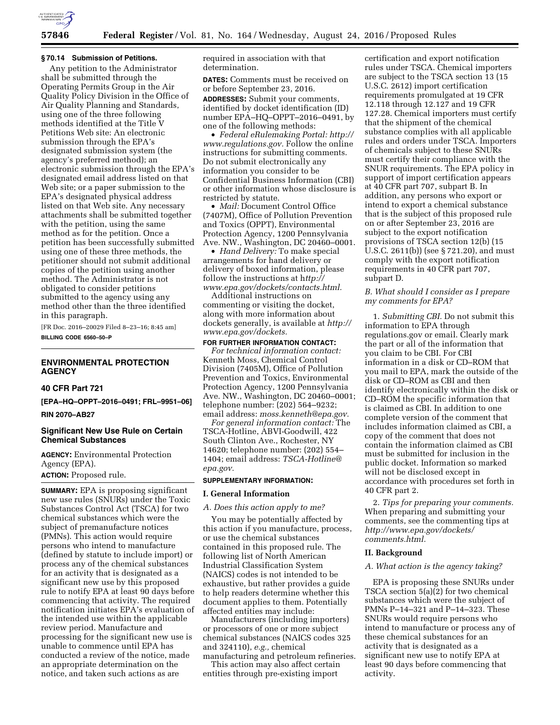

# **57846 Federal Register** / Vol. 81, No. 164 / Wednesday, August 24, 2016 / Proposed Rules

## **§ 70.14 Submission of Petitions.**

Any petition to the Administrator shall be submitted through the Operating Permits Group in the Air Quality Policy Division in the Office of Air Quality Planning and Standards, using one of the three following methods identified at the Title V Petitions Web site: An electronic submission through the EPA's designated submission system (the agency's preferred method); an electronic submission through the EPA's designated email address listed on that Web site; or a paper submission to the EPA's designated physical address listed on that Web site. Any necessary attachments shall be submitted together with the petition, using the same method as for the petition. Once a petition has been successfully submitted using one of these three methods, the petitioner should not submit additional copies of the petition using another method. The Administrator is not obligated to consider petitions submitted to the agency using any method other than the three identified in this paragraph.

[FR Doc. 2016–20029 Filed 8–23–16; 8:45 am] **BILLING CODE 6560–50–P** 

# **ENVIRONMENTAL PROTECTION AGENCY**

#### **40 CFR Part 721**

**[EPA–HQ–OPPT–2016–0491; FRL–9951–06]** 

**RIN 2070–AB27** 

## **Significant New Use Rule on Certain Chemical Substances**

**AGENCY:** Environmental Protection Agency (EPA). **ACTION:** Proposed rule.

**SUMMARY:** EPA is proposing significant new use rules (SNURs) under the Toxic Substances Control Act (TSCA) for two chemical substances which were the subject of premanufacture notices (PMNs). This action would require persons who intend to manufacture (defined by statute to include import) or process any of the chemical substances for an activity that is designated as a significant new use by this proposed rule to notify EPA at least 90 days before commencing that activity. The required notification initiates EPA's evaluation of the intended use within the applicable review period. Manufacture and processing for the significant new use is unable to commence until EPA has conducted a review of the notice, made an appropriate determination on the notice, and taken such actions as are

required in association with that determination.

**DATES:** Comments must be received on or before September 23, 2016. **ADDRESSES:** Submit your comments, identified by docket identification (ID) number EPA–HQ–OPPT–2016–0491, by one of the following methods:

• *Federal eRulemaking Portal: [http://](http://www.regulations.gov)  [www.regulations.gov.](http://www.regulations.gov)* Follow the online instructions for submitting comments. Do not submit electronically any information you consider to be Confidential Business Information (CBI) or other information whose disclosure is restricted by statute.

• *Mail:* Document Control Office (7407M), Office of Pollution Prevention and Toxics (OPPT), Environmental Protection Agency, 1200 Pennsylvania Ave. NW., Washington, DC 20460–0001.

• *Hand Delivery:* To make special arrangements for hand delivery or delivery of boxed information, please follow the instructions at h*[ttp://](http://www.epa.gov/dockets/contacts.html) [www.epa.gov/dockets/contacts.html.](http://www.epa.gov/dockets/contacts.html)* 

Additional instructions on commenting or visiting the docket, along with more information about dockets generally, is available at *[http://](http://www.epa.gov/dockets) [www.epa.gov/dockets.](http://www.epa.gov/dockets)* 

# **FOR FURTHER INFORMATION CONTACT:**

*For technical information contact:*  Kenneth Moss, Chemical Control Division (7405M), Office of Pollution Prevention and Toxics, Environmental Protection Agency, 1200 Pennsylvania Ave. NW., Washington, DC 20460–0001; telephone number: (202) 564–9232; email address: *[moss.kenneth@epa.gov.](mailto:moss.kenneth@epa.gov)* 

*For general information contact:* The TSCA-Hotline, ABVI-Goodwill, 422 South Clinton Ave., Rochester, NY 14620; telephone number: (202) 554– 1404; email address: *[TSCA-Hotline@](mailto:TSCA-Hotline@epa.gov) [epa.gov.](mailto:TSCA-Hotline@epa.gov)* 

# **SUPPLEMENTARY INFORMATION:**

#### **I. General Information**

*A. Does this action apply to me?* 

You may be potentially affected by this action if you manufacture, process, or use the chemical substances contained in this proposed rule. The following list of North American Industrial Classification System (NAICS) codes is not intended to be exhaustive, but rather provides a guide to help readers determine whether this document applies to them. Potentially affected entities may include:

Manufacturers (including importers) or processors of one or more subject chemical substances (NAICS codes 325 and 324110), *e.g.,* chemical manufacturing and petroleum refineries.

This action may also affect certain entities through pre-existing import

certification and export notification rules under TSCA. Chemical importers are subject to the TSCA section 13 (15 U.S.C. 2612) import certification requirements promulgated at 19 CFR 12.118 through 12.127 and 19 CFR 127.28. Chemical importers must certify that the shipment of the chemical substance complies with all applicable rules and orders under TSCA. Importers of chemicals subject to these SNURs must certify their compliance with the SNUR requirements. The EPA policy in support of import certification appears at 40 CFR part 707, subpart B. In addition, any persons who export or intend to export a chemical substance that is the subject of this proposed rule on or after September 23, 2016 are subject to the export notification provisions of TSCA section 12(b) (15 U.S.C. 2611(b)) (see § 721.20), and must comply with the export notification requirements in 40 CFR part 707, subpart D.

# *B. What should I consider as I prepare my comments for EPA?*

1. *Submitting CBI.* Do not submit this information to EPA through regulations.gov or email. Clearly mark the part or all of the information that you claim to be CBI. For CBI information in a disk or CD–ROM that you mail to EPA, mark the outside of the disk or CD–ROM as CBI and then identify electronically within the disk or CD–ROM the specific information that is claimed as CBI. In addition to one complete version of the comment that includes information claimed as CBI, a copy of the comment that does not contain the information claimed as CBI must be submitted for inclusion in the public docket. Information so marked will not be disclosed except in accordance with procedures set forth in 40 CFR part 2.

2. *Tips for preparing your comments.*  When preparing and submitting your comments, see the commenting tips at *[http://www.epa.gov/dockets/](http://www.epa.gov/dockets/comments.html)  [comments.html.](http://www.epa.gov/dockets/comments.html)* 

## **II. Background**

#### *A. What action is the agency taking?*

EPA is proposing these SNURs under TSCA section 5(a)(2) for two chemical substances which were the subject of PMNs P–14–321 and P–14–323. These SNURs would require persons who intend to manufacture or process any of these chemical substances for an activity that is designated as a significant new use to notify EPA at least 90 days before commencing that activity.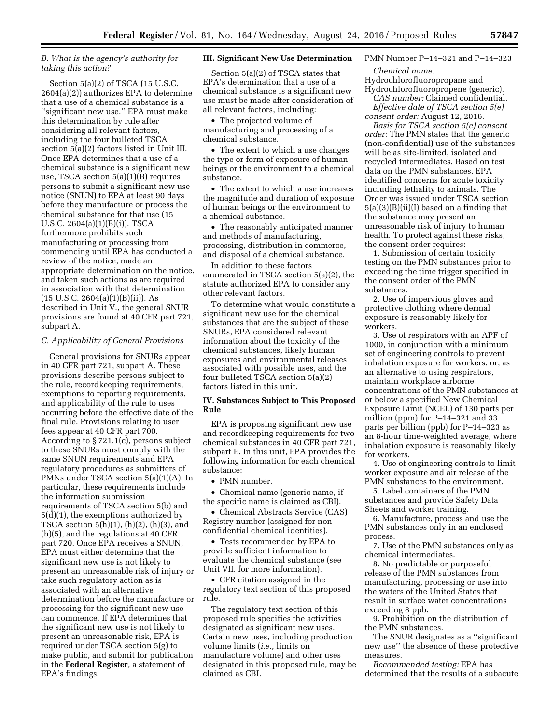# *B. What is the agency's authority for taking this action?*

Section 5(a)(2) of TSCA (15 U.S.C. 2604(a)(2)) authorizes EPA to determine that a use of a chemical substance is a ''significant new use.'' EPA must make this determination by rule after considering all relevant factors, including the four bulleted TSCA section 5(a)(2) factors listed in Unit III. Once EPA determines that a use of a chemical substance is a significant new use, TSCA section 5(a)(1)(B) requires persons to submit a significant new use notice (SNUN) to EPA at least 90 days before they manufacture or process the chemical substance for that use (15 U.S.C. 2604(a)(1)(B)(i)). TSCA furthermore prohibits such manufacturing or processing from commencing until EPA has conducted a review of the notice, made an appropriate determination on the notice, and taken such actions as are required in association with that determination  $(15 \text{ U.S.C. } 2604(a)(1)(B)(ii))$ . As described in Unit V., the general SNUR provisions are found at 40 CFR part 721, subpart A.

## *C. Applicability of General Provisions*

General provisions for SNURs appear in 40 CFR part 721, subpart A. These provisions describe persons subject to the rule, recordkeeping requirements, exemptions to reporting requirements, and applicability of the rule to uses occurring before the effective date of the final rule. Provisions relating to user fees appear at 40 CFR part 700. According to § 721.1(c), persons subject to these SNURs must comply with the same SNUN requirements and EPA regulatory procedures as submitters of PMNs under TSCA section 5(a)(1)(A). In particular, these requirements include the information submission requirements of TSCA section 5(b) and 5(d)(1), the exemptions authorized by TSCA section  $5(h)(1)$ ,  $(h)(2)$ ,  $(h)(3)$ , and (h)(5), and the regulations at 40 CFR part 720. Once EPA receives a SNUN, EPA must either determine that the significant new use is not likely to present an unreasonable risk of injury or take such regulatory action as is associated with an alternative determination before the manufacture or processing for the significant new use can commence. If EPA determines that the significant new use is not likely to present an unreasonable risk, EPA is required under TSCA section 5(g) to make public, and submit for publication in the **Federal Register**, a statement of EPA's findings.

#### **III. Significant New Use Determination**

Section 5(a)(2) of TSCA states that EPA's determination that a use of a chemical substance is a significant new use must be made after consideration of all relevant factors, including:

• The projected volume of manufacturing and processing of a chemical substance.

• The extent to which a use changes the type or form of exposure of human beings or the environment to a chemical substance.

• The extent to which a use increases the magnitude and duration of exposure of human beings or the environment to a chemical substance.

• The reasonably anticipated manner and methods of manufacturing, processing, distribution in commerce, and disposal of a chemical substance.

In addition to these factors enumerated in TSCA section 5(a)(2), the statute authorized EPA to consider any other relevant factors.

To determine what would constitute a significant new use for the chemical substances that are the subject of these SNURs, EPA considered relevant information about the toxicity of the chemical substances, likely human exposures and environmental releases associated with possible uses, and the four bulleted TSCA section 5(a)(2) factors listed in this unit.

# **IV. Substances Subject to This Proposed Rule**

EPA is proposing significant new use and recordkeeping requirements for two chemical substances in 40 CFR part 721, subpart E. In this unit, EPA provides the following information for each chemical substance:

• PMN number.

• Chemical name (generic name, if the specific name is claimed as CBI).

• Chemical Abstracts Service (CAS) Registry number (assigned for nonconfidential chemical identities).

• Tests recommended by EPA to provide sufficient information to evaluate the chemical substance (see Unit VII. for more information).

• CFR citation assigned in the regulatory text section of this proposed rule.

The regulatory text section of this proposed rule specifies the activities designated as significant new uses. Certain new uses, including production volume limits (*i.e.,* limits on manufacture volume) and other uses designated in this proposed rule, may be claimed as CBI.

# PMN Number P–14–321 and P–14–323

*Chemical name:* 

Hydrochlorofluoropropane and Hydrochlorofluoropropene (generic).

*CAS number:* Claimed confidential. *Effective date of TSCA section 5(e)* 

*consent order:* August 12, 2016. *Basis for TSCA section 5(e) consent order:* The PMN states that the generic (non-confidential) use of the substances will be as site-limited, isolated and recycled intermediates. Based on test data on the PMN substances, EPA

identified concerns for acute toxicity including lethality to animals. The Order was issued under TSCA section 5(a)(3)(B)(ii)(I) based on a finding that the substance may present an unreasonable risk of injury to human health. To protect against these risks, the consent order requires:

1. Submission of certain toxicity testing on the PMN substances prior to exceeding the time trigger specified in the consent order of the PMN substances.

2. Use of impervious gloves and protective clothing where dermal exposure is reasonably likely for workers.

3. Use of respirators with an APF of 1000, in conjunction with a minimum set of engineering controls to prevent inhalation exposure for workers, or, as an alternative to using respirators, maintain workplace airborne concentrations of the PMN substances at or below a specified New Chemical Exposure Limit (NCEL) of 130 parts per million (ppm) for P–14–321 and 33 parts per billion (ppb) for P–14–323 as an 8-hour time-weighted average, where inhalation exposure is reasonably likely for workers.

4. Use of engineering controls to limit worker exposure and air release of the PMN substances to the environment.

5. Label containers of the PMN substances and provide Safety Data Sheets and worker training.

6. Manufacture, process and use the PMN substances only in an enclosed process.

7. Use of the PMN substances only as chemical intermediates.

8. No predictable or purposeful release of the PMN substances from manufacturing, processing or use into the waters of the United States that result in surface water concentrations exceeding 8 ppb.

9. Prohibition on the distribution of the PMN substances.

The SNUR designates as a ''significant new use'' the absence of these protective measures.

*Recommended testing:* EPA has determined that the results of a subacute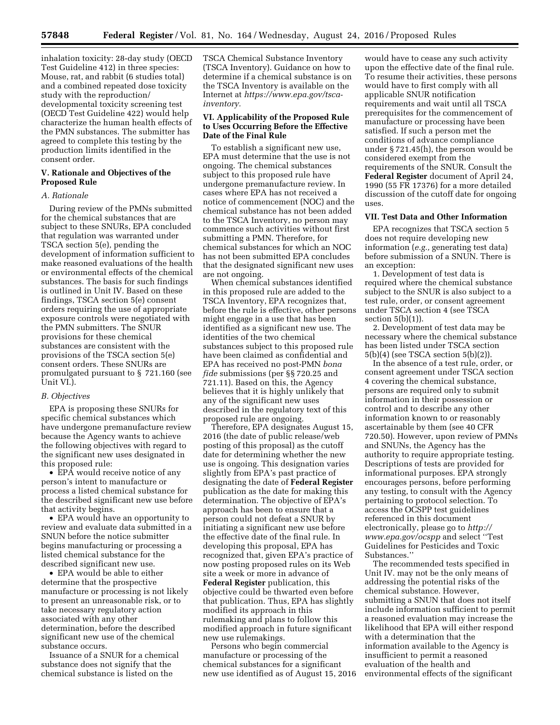inhalation toxicity: 28-day study (OECD Test Guideline 412) in three species: Mouse, rat, and rabbit (6 studies total) and a combined repeated dose toxicity study with the reproduction/ developmental toxicity screening test (OECD Test Guideline 422) would help characterize the human health effects of the PMN substances. The submitter has agreed to complete this testing by the production limits identified in the consent order.

# **V. Rationale and Objectives of the Proposed Rule**

## *A. Rationale*

During review of the PMNs submitted for the chemical substances that are subject to these SNURs, EPA concluded that regulation was warranted under TSCA section 5(e), pending the development of information sufficient to make reasoned evaluations of the health or environmental effects of the chemical substances. The basis for such findings is outlined in Unit IV. Based on these findings, TSCA section 5(e) consent orders requiring the use of appropriate exposure controls were negotiated with the PMN submitters. The SNUR provisions for these chemical substances are consistent with the provisions of the TSCA section 5(e) consent orders. These SNURs are promulgated pursuant to § 721.160 (see Unit VI.).

# *B. Objectives*

EPA is proposing these SNURs for specific chemical substances which have undergone premanufacture review because the Agency wants to achieve the following objectives with regard to the significant new uses designated in this proposed rule:

• EPA would receive notice of any person's intent to manufacture or process a listed chemical substance for the described significant new use before that activity begins.

• EPA would have an opportunity to review and evaluate data submitted in a SNUN before the notice submitter begins manufacturing or processing a listed chemical substance for the described significant new use.

• EPA would be able to either determine that the prospective manufacture or processing is not likely to present an unreasonable risk, or to take necessary regulatory action associated with any other determination, before the described significant new use of the chemical substance occurs.

Issuance of a SNUR for a chemical substance does not signify that the chemical substance is listed on the

TSCA Chemical Substance Inventory (TSCA Inventory). Guidance on how to determine if a chemical substance is on the TSCA Inventory is available on the Internet at *[https://www.epa.gov/tsca](https://www.epa.gov/tsca-inventory)[inventory.](https://www.epa.gov/tsca-inventory)* 

## **VI. Applicability of the Proposed Rule to Uses Occurring Before the Effective Date of the Final Rule**

To establish a significant new use, EPA must determine that the use is not ongoing. The chemical substances subject to this proposed rule have undergone premanufacture review. In cases where EPA has not received a notice of commencement (NOC) and the chemical substance has not been added to the TSCA Inventory, no person may commence such activities without first submitting a PMN. Therefore, for chemical substances for which an NOC has not been submitted EPA concludes that the designated significant new uses are not ongoing.

When chemical substances identified in this proposed rule are added to the TSCA Inventory, EPA recognizes that, before the rule is effective, other persons might engage in a use that has been identified as a significant new use. The identities of the two chemical substances subject to this proposed rule have been claimed as confidential and EPA has received no post-PMN *bona fide* submissions (per §§ 720.25 and 721.11). Based on this, the Agency believes that it is highly unlikely that any of the significant new uses described in the regulatory text of this proposed rule are ongoing.

Therefore, EPA designates August 15, 2016 (the date of public release/web posting of this proposal) as the cutoff date for determining whether the new use is ongoing. This designation varies slightly from EPA's past practice of designating the date of **Federal Register**  publication as the date for making this determination. The objective of EPA's approach has been to ensure that a person could not defeat a SNUR by initiating a significant new use before the effective date of the final rule. In developing this proposal, EPA has recognized that, given EPA's practice of now posting proposed rules on its Web site a week or more in advance of **Federal Register** publication, this objective could be thwarted even before that publication. Thus, EPA has slightly modified its approach in this rulemaking and plans to follow this modified approach in future significant new use rulemakings.

Persons who begin commercial manufacture or processing of the chemical substances for a significant new use identified as of August 15, 2016

would have to cease any such activity upon the effective date of the final rule. To resume their activities, these persons would have to first comply with all applicable SNUR notification requirements and wait until all TSCA prerequisites for the commencement of manufacture or processing have been satisfied. If such a person met the conditions of advance compliance under § 721.45(h), the person would be considered exempt from the requirements of the SNUR. Consult the **Federal Register** document of April 24, 1990 (55 FR 17376) for a more detailed discussion of the cutoff date for ongoing uses.

#### **VII. Test Data and Other Information**

EPA recognizes that TSCA section 5 does not require developing new information (*e.g.,* generating test data) before submission of a SNUN. There is an exception:

1. Development of test data is required where the chemical substance subject to the SNUR is also subject to a test rule, order, or consent agreement under TSCA section 4 (see TSCA section 5(b)(1)).

2. Development of test data may be necessary where the chemical substance has been listed under TSCA section 5(b)(4) (see TSCA section 5(b)(2)).

In the absence of a test rule, order, or consent agreement under TSCA section 4 covering the chemical substance, persons are required only to submit information in their possession or control and to describe any other information known to or reasonably ascertainable by them (see 40 CFR 720.50). However, upon review of PMNs and SNUNs, the Agency has the authority to require appropriate testing. Descriptions of tests are provided for informational purposes. EPA strongly encourages persons, before performing any testing, to consult with the Agency pertaining to protocol selection. To access the OCSPP test guidelines referenced in this document electronically, please go to *[http://](http://www.epa.gov/ocspp) [www.epa.gov/ocspp](http://www.epa.gov/ocspp)* and select ''Test Guidelines for Pesticides and Toxic Substances.''

The recommended tests specified in Unit IV. may not be the only means of addressing the potential risks of the chemical substance. However, submitting a SNUN that does not itself include information sufficient to permit a reasoned evaluation may increase the likelihood that EPA will either respond with a determination that the information available to the Agency is insufficient to permit a reasoned evaluation of the health and environmental effects of the significant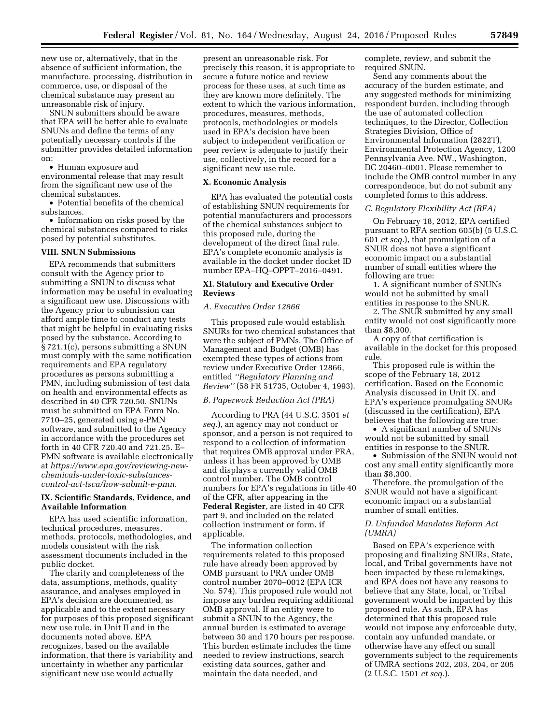new use or, alternatively, that in the absence of sufficient information, the manufacture, processing, distribution in commerce, use, or disposal of the chemical substance may present an unreasonable risk of injury.

SNUN submitters should be aware that EPA will be better able to evaluate SNUNs and define the terms of any potentially necessary controls if the submitter provides detailed information on:

• Human exposure and

environmental release that may result from the significant new use of the chemical substances.

• Potential benefits of the chemical substances.

• Information on risks posed by the chemical substances compared to risks posed by potential substitutes.

#### **VIII. SNUN Submissions**

EPA recommends that submitters consult with the Agency prior to submitting a SNUN to discuss what information may be useful in evaluating a significant new use. Discussions with the Agency prior to submission can afford ample time to conduct any tests that might be helpful in evaluating risks posed by the substance. According to § 721.1(c), persons submitting a SNUN must comply with the same notification requirements and EPA regulatory procedures as persons submitting a PMN, including submission of test data on health and environmental effects as described in 40 CFR 720.50. SNUNs must be submitted on EPA Form No. 7710–25, generated using e-PMN software, and submitted to the Agency in accordance with the procedures set forth in 40 CFR 720.40 and 721.25. E– PMN software is available electronically at *[https://www.epa.gov/reviewing-new](https://www.epa.gov/reviewing-new-chemicals-under-toxic-substances-control-act-tsca/how-submit-e-pmn)[chemicals-under-toxic-substances](https://www.epa.gov/reviewing-new-chemicals-under-toxic-substances-control-act-tsca/how-submit-e-pmn)[control-act-tsca/how-submit-e-pmn.](https://www.epa.gov/reviewing-new-chemicals-under-toxic-substances-control-act-tsca/how-submit-e-pmn)* 

# **IX. Scientific Standards, Evidence, and Available Information**

EPA has used scientific information, technical procedures, measures, methods, protocols, methodologies, and models consistent with the risk assessment documents included in the public docket.

The clarity and completeness of the data, assumptions, methods, quality assurance, and analyses employed in EPA's decision are documented, as applicable and to the extent necessary for purposes of this proposed significant new use rule, in Unit II and in the documents noted above. EPA recognizes, based on the available information, that there is variability and uncertainty in whether any particular significant new use would actually

present an unreasonable risk. For precisely this reason, it is appropriate to secure a future notice and review process for these uses, at such time as they are known more definitely. The extent to which the various information, procedures, measures, methods, protocols, methodologies or models used in EPA's decision have been subject to independent verification or peer review is adequate to justify their use, collectively, in the record for a significant new use rule.

#### **X. Economic Analysis**

EPA has evaluated the potential costs of establishing SNUN requirements for potential manufacturers and processors of the chemical substances subject to this proposed rule, during the development of the direct final rule. EPA's complete economic analysis is available in the docket under docket ID number EPA–HQ–OPPT–2016–0491.

### **XI. Statutory and Executive Order Reviews**

## *A. Executive Order 12866*

This proposed rule would establish SNURs for two chemical substances that were the subject of PMNs. The Office of Management and Budget (OMB) has exempted these types of actions from review under Executive Order 12866, entitled *''Regulatory Planning and Review''* (58 FR 51735, October 4, 1993).

### *B. Paperwork Reduction Act (PRA)*

According to PRA (44 U.S.C. 3501 *et seq.*), an agency may not conduct or sponsor, and a person is not required to respond to a collection of information that requires OMB approval under PRA, unless it has been approved by OMB and displays a currently valid OMB control number. The OMB control numbers for EPA's regulations in title 40 of the CFR, after appearing in the **Federal Register**, are listed in 40 CFR part 9, and included on the related collection instrument or form, if applicable.

The information collection requirements related to this proposed rule have already been approved by OMB pursuant to PRA under OMB control number 2070–0012 (EPA ICR No. 574). This proposed rule would not impose any burden requiring additional OMB approval. If an entity were to submit a SNUN to the Agency, the annual burden is estimated to average between 30 and 170 hours per response. This burden estimate includes the time needed to review instructions, search existing data sources, gather and maintain the data needed, and

complete, review, and submit the required SNUN.

Send any comments about the accuracy of the burden estimate, and any suggested methods for minimizing respondent burden, including through the use of automated collection techniques, to the Director, Collection Strategies Division, Office of Environmental Information (2822T), Environmental Protection Agency, 1200 Pennsylvania Ave. NW., Washington, DC 20460–0001. Please remember to include the OMB control number in any correspondence, but do not submit any completed forms to this address.

### *C. Regulatory Flexibility Act (RFA)*

On February 18, 2012, EPA certified pursuant to RFA section 605(b) (5 U.S.C. 601 *et seq.*), that promulgation of a SNUR does not have a significant economic impact on a substantial number of small entities where the following are true:

1. A significant number of SNUNs would not be submitted by small entities in response to the SNUR.

2. The SNUR submitted by any small entity would not cost significantly more than \$8,300.

A copy of that certification is available in the docket for this proposed rule.

This proposed rule is within the scope of the February 18, 2012 certification. Based on the Economic Analysis discussed in Unit IX. and EPA's experience promulgating SNURs (discussed in the certification), EPA believes that the following are true:

• A significant number of SNUNs would not be submitted by small entities in response to the SNUR.

• Submission of the SNUN would not cost any small entity significantly more than \$8,300.

Therefore, the promulgation of the SNUR would not have a significant economic impact on a substantial number of small entities.

# *D. Unfunded Mandates Reform Act (UMRA)*

Based on EPA's experience with proposing and finalizing SNURs, State, local, and Tribal governments have not been impacted by these rulemakings, and EPA does not have any reasons to believe that any State, local, or Tribal government would be impacted by this proposed rule. As such, EPA has determined that this proposed rule would not impose any enforceable duty, contain any unfunded mandate, or otherwise have any effect on small governments subject to the requirements of UMRA sections 202, 203, 204, or 205 (2 U.S.C. 1501 *et seq.*).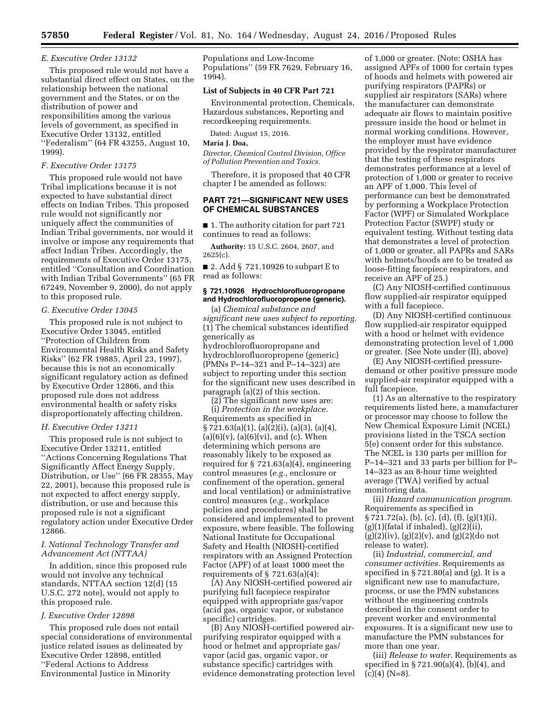#### *E. Executive Order 13132*

This proposed rule would not have a substantial direct effect on States, on the relationship between the national government and the States, or on the distribution of power and responsibilities among the various levels of government, as specified in Executive Order 13132, entitled ''Federalism'' (64 FR 43255, August 10, 1999).

## *F. Executive Order 13175*

This proposed rule would not have Tribal implications because it is not expected to have substantial direct effects on Indian Tribes. This proposed rule would not significantly nor uniquely affect the communities of Indian Tribal governments, nor would it involve or impose any requirements that affect Indian Tribes. Accordingly, the requirements of Executive Order 13175, entitled ''Consultation and Coordination with Indian Tribal Governments'' (65 FR 67249, November 9, 2000), do not apply to this proposed rule.

### *G. Executive Order 13045*

This proposed rule is not subject to Executive Order 13045, entitled ''Protection of Children from Environmental Health Risks and Safety Risks'' (62 FR 19885, April 23, 1997), because this is not an economically significant regulatory action as defined by Executive Order 12866, and this proposed rule does not address environmental health or safety risks disproportionately affecting children.

#### *H. Executive Order 13211*

This proposed rule is not subject to Executive Order 13211, entitled ''Actions Concerning Regulations That Significantly Affect Energy Supply, Distribution, or Use'' (66 FR 28355, May 22, 2001), because this proposed rule is not expected to affect energy supply, distribution, or use and because this proposed rule is not a significant regulatory action under Executive Order 12866.

# *I. National Technology Transfer and Advancement Act (NTTAA)*

In addition, since this proposed rule would not involve any technical standards, NTTAA section 12(d) (15 U.S.C. 272 note), would not apply to this proposed rule.

#### *J. Executive Order 12898*

This proposed rule does not entail special considerations of environmental justice related issues as delineated by Executive Order 12898, entitled ''Federal Actions to Address Environmental Justice in Minority

Populations and Low-Income Populations'' (59 FR 7629, February 16, 1994).

#### **List of Subjects in 40 CFR Part 721**

Environmental protection, Chemicals, Hazardous substances, Reporting and recordkeeping requirements.

Dated: August 15, 2016.

### **Maria J. Doa,**

*Director, Chemical Control Division, Office of Pollution Prevention and Toxics.* 

Therefore, it is proposed that 40 CFR chapter I be amended as follows:

# **PART 721—SIGNIFICANT NEW USES OF CHEMICAL SUBSTANCES**

■ 1. The authority citation for part 721 continues to read as follows:

**Authority:** 15 U.S.C. 2604, 2607, and 2625(c).

■ 2. Add § 721.10926 to subpart E to read as follows:

### **§ 721.10926 Hydrochlorofluoropropane and Hydrochlorofluoropropene (generic).**

(a) *Chemical substance and significant new uses subject to reporting.*  (1) The chemical substances identified generically as hydrochlorofluoropropane and hydrochlorofluoropropene (generic) (PMNs P–14–321 and P–14–323) are subject to reporting under this section for the significant new uses described in paragraph (a)(2) of this section.

(2) The significant new uses are: (i) *Protection in the workplace.*  Requirements as specified in § 721.63(a)(1), (a)(2)(i), (a)(3), (a)(4),  $(a)(6)(v)$ ,  $(a)(6)(vi)$ , and  $(c)$ . When determining which persons are reasonably likely to be exposed as required for § 721.63(a)(4), engineering control measures (*e.g.,* enclosure or confinement of the operation, general and local ventilation) or administrative control measures (*e.g.,* workplace policies and procedures) shall be considered and implemented to prevent exposure, where feasible. The following National Institute for Occupational Safety and Health (NIOSH)-certified respirators with an Assigned Protection Factor (APF) of at least 1000 meet the requirements of  $\S$  721.63(a)(4):

(A) Any NIOSH-certified powered air purifying full facepiece respirator equipped with appropriate gas/vapor (acid gas, organic vapor, or substance specific) cartridges.

(B) Any NIOSH-certified powered airpurifying respirator equipped with a hood or helmet and appropriate gas/ vapor (acid gas, organic vapor, or substance specific) cartridges with evidence demonstrating protection level

of 1,000 or greater. (Note: OSHA has assigned APFs of 1000 for certain types of hoods and helmets with powered air purifying respirators (PAPRs) or supplied air respirators (SARs) where the manufacturer can demonstrate adequate air flows to maintain positive pressure inside the hood or helmet in normal working conditions. However, the employer must have evidence provided by the respirator manufacturer that the testing of these respirators demonstrates performance at a level of protection of 1,000 or greater to receive an APF of 1,000. This level of performance can best be demonstrated by performing a Workplace Protection Factor (WPF) or Simulated Workplace Protection Factor (SWPF) study or equivalent testing. Without testing data that demonstrates a level of protection of 1,000 or greater, all PAPRs and SARs with helmets/hoods are to be treated as loose-fitting facepiece respirators, and receive an APF of 25.)

(C) Any NIOSH-certified continuous flow supplied-air respirator equipped with a full facepiece.

(D) Any NIOSH-certified continuous flow supplied-air respirator equipped with a hood or helmet with evidence demonstrating protection level of 1,000 or greater. (See Note under (II), above)

(E) Any NIOSH-certified pressuredemand or other positive pressure mode supplied-air respirator equipped with a full facepiece.

(1) As an alternative to the respiratory requirements listed here, a manufacturer or processor may choose to follow the New Chemical Exposure Limit (NCEL) provisions listed in the TSCA section 5(e) consent order for this substance. The NCEL is 130 parts per million for P–14–321 and 33 parts per billion for P– 14–323 as an 8-hour time weighted average (TWA) verified by actual monitoring data.

(ii) *Hazard communication program.*  Requirements as specified in  $\S 721.72(a)$ , (b), (c), (d), (f), (g)(1)(i),  $(g)(1)$ (fatal if inhaled),  $(g)(2)$ (ii),  $(g)(2)(iv)$ ,  $(g)(2)(v)$ , and  $(g)(2)(do not)$ release to water).

(ii) *Industrial, commercial, and consumer activities.* Requirements as specified in § 721.80(a) and (g). It is a significant new use to manufacture, process, or use the PMN substances without the engineering controls described in the consent order to prevent worker and environmental exposures. It is a significant new use to manufacture the PMN substances for more than one year.

(iii) *Release to water.* Requirements as specified in § 721.90(a)(4), (b)(4), and  $(c)(4)$  (N=8).